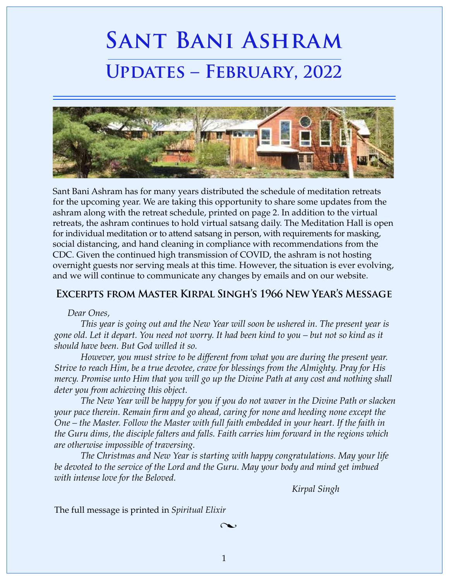# **Sant Bani Ashram Updates – February, 2022**



Sant Bani Ashram has for many years distributed the schedule of meditation retreats for the upcoming year. We are taking this opportunity to share some updates from the ashram along with the retreat schedule, printed on page 2. In addition to the virtual retreats, the ashram continues to hold virtual satsang daily. The Meditation Hall is open for individual meditation or to attend satsang in person, with requirements for masking, social distancing, and hand cleaning in compliance with recommendations from the CDC. Given the continued high transmission of COVID, the ashram is not hosting overnight guests nor serving meals at this time. However, the situation is ever evolving, and we will continue to communicate any changes by emails and on our website.

# **Excerpts from Master Kirpal Singh's 1966 New Year's Message**

#### *Dear Ones,*

*This year is going out and the New Year will soon be ushered in. The present year is gone old. Let it depart. You need not worry. It had been kind to you – but not so kind as it should have been. But God willed it so.*

*However, you must strive to be different from what you are during the present year. Strive to reach Him, be a true devotee, crave for blessings from the Almighty. Pray for His mercy. Promise unto Him that you will go up the Divine Path at any cost and nothing shall deter you from achieving this object.*

*The New Year will be happy for you if you do not waver in the Divine Path or slacken your pace therein. Remain firm and go ahead, caring for none and heeding none except the One – the Master. Follow the Master with full faith embedded in your heart. If the faith in the Guru dims, the disciple falters and falls. Faith carries him forward in the regions which are otherwise impossible of traversing.*

*The Christmas and New Year is starting with happy congratulations. May your life*  be devoted to the service of the Lord and the Guru. May your body and mind get imbued *with intense love for the Beloved.*

 *Kirpal Singh*

 $1$ 

The full message is printed in *Spiritual Elixir*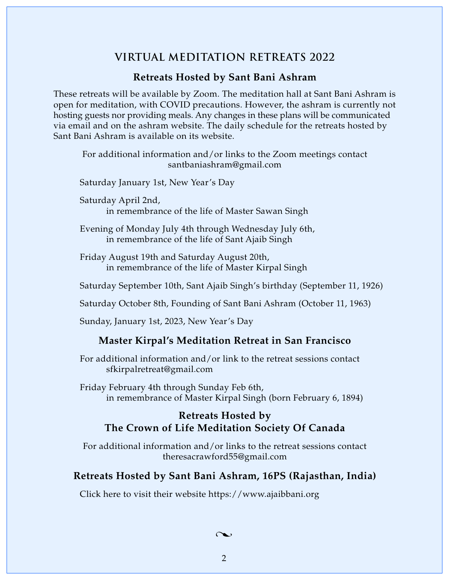# **VIRTUAL MEDITATION RETREATS 2022**

## **Retreats Hosted by Sant Bani Ashram**

These retreats will be available by Zoom. The meditation hall at Sant Bani Ashram is open for meditation, with COVID precautions. However, the ashram is currently not hosting guests nor providing meals. Any changes in these plans will be communicated via email and on the ashram website. The daily schedule for the retreats hosted by Sant Bani Ashram is available on its website.

For additional information and/or links to the Zoom meetings contact santbaniashram@gmail.com

Saturday January 1st, New Year's Day

Saturday April 2nd,

in remembrance of the life of Master Sawan Singh

Evening of Monday July 4th through Wednesday July 6th, in remembrance of the life of Sant Ajaib Singh

Friday August 19th and Saturday August 20th, in remembrance of the life of Master Kirpal Singh

Saturday September 10th, Sant Ajaib Singh's birthday (September 11, 1926)

Saturday October 8th, Founding of Sant Bani Ashram (October 11, 1963)

Sunday, January 1st, 2023, New Year's Day

#### **Master Kirpal's Meditation Retreat in San Francisco**

For additional information and/or link to the retreat sessions contact sfkirpalretreat@gmail.com

Friday February 4th through Sunday Feb 6th, in remembrance of Master Kirpal Singh (born February 6, 1894)

# **Retreats Hosted by The Crown of Life Meditation Society Of Canada**

For additional information and/or links to the retreat sessions contact theresacrawford55@gmail.com

## **Retreats Hosted by Sant Bani Ashram, 16PS (Rajasthan, India)**

Click here to visit their website https://www.ajaibbani.org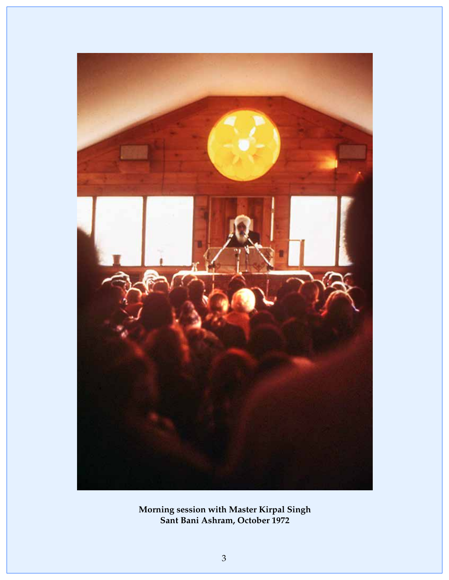

**Morning session with Master Kirpal Singh Sant Bani Ashram, October 1972**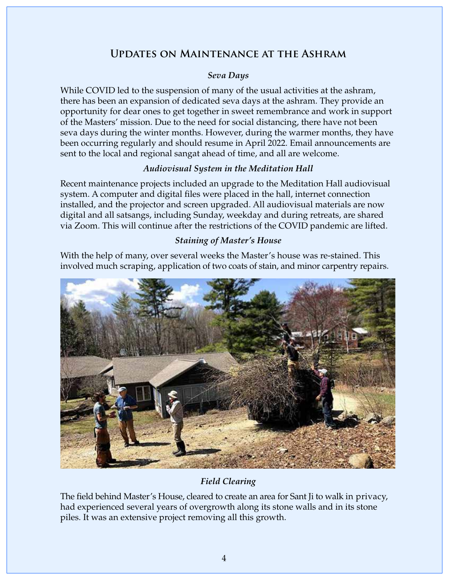# **Updates on Maintenance at the Ashram**

## *Seva Days*

While COVID led to the suspension of many of the usual activities at the ashram, there has been an expansion of dedicated seva days at the ashram. They provide an opportunity for dear ones to get together in sweet remembrance and work in support of the Masters' mission. Due to the need for social distancing, there have not been seva days during the winter months. However, during the warmer months, they have been occurring regularly and should resume in April 2022. Email announcements are sent to the local and regional sangat ahead of time, and all are welcome.

## *Audiovisual System in the Meditation Hall*

Recent maintenance projects included an upgrade to the Meditation Hall audiovisual system. A computer and digital files were placed in the hall, internet connection installed, and the projector and screen upgraded. All audiovisual materials are now digital and all satsangs, including Sunday, weekday and during retreats, are shared via Zoom. This will continue after the restrictions of the COVID pandemic are lifted.

## *Staining of Master's House*

With the help of many, over several weeks the Master's house was re-stained. This involved much scraping, application of two coats of stain, and minor carpentry repairs.



# *Field Clearing*

The field behind Master's House, cleared to create an area for Sant Ji to walk in privacy, had experienced several years of overgrowth along its stone walls and in its stone piles. It was an extensive project removing all this growth.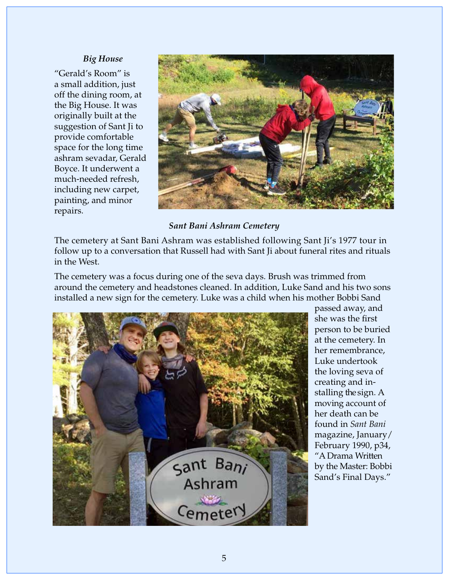#### *Big House*

"Gerald's Room" is a small addition, just off the dining room, at the Big House. It was originally built at the suggestion of Sant Ji to provide comfortable space for the long time ashram sevadar, Gerald Boyce. It underwent a much-needed refresh, including new carpet, painting, and minor repairs.



#### *Sant Bani Ashram Cemetery*

The cemetery at Sant Bani Ashram was established following Sant Ji's 1977 tour in follow up to a conversation that Russell had with Sant Ji about funeral rites and rituals in the West.

The cemetery was a focus during one of the seva days. Brush was trimmed from around the cemetery and headstones cleaned. In addition, Luke Sand and his two sons installed a new sign for the cemetery. Luke was a child when his mother Bobbi Sand



passed away, and she was the first person to be buried at the cemetery. In her remembrance, Luke undertook the loving seva of creating and installing the sign. A moving account of her death can be found in *Sant Bani*  magazine, January/ February 1990, p34, "A Drama Written by the Master: Bobbi Sand's Final Days."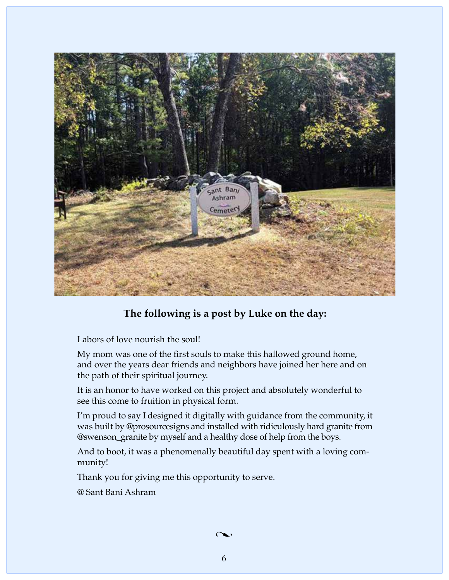

# **The following is a post by Luke on the day:**

Labors of love nourish the soul!

My mom was one of the first souls to make this hallowed ground home, and over the years dear friends and neighbors have joined her here and on the path of their spiritual journey.

It is an honor to have worked on this project and absolutely wonderful to see this come to fruition in physical form.

I'm proud to say I designed it digitally with guidance from the community, it was built by @prosourcesigns and installed with ridiculously hard granite from @swenson\_granite by myself and a healthy dose of help from the boys.

And to boot, it was a phenomenally beautiful day spent with a loving community!

Thank you for giving me this opportunity to serve.

@ Sant Bani Ashram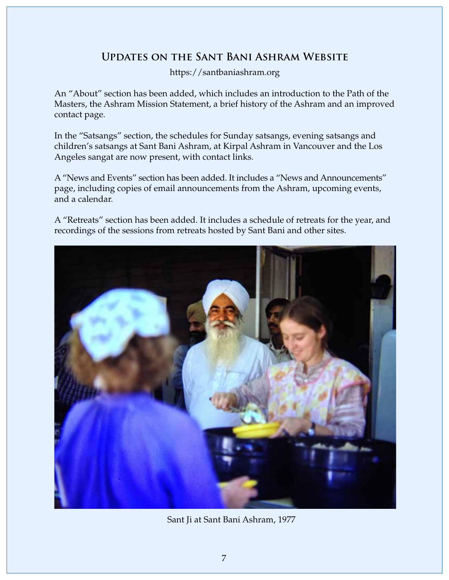# **Updates on the Sant Bani Ashram Website**

https://santbaniashram.org

An "About" section has been added, which includes an introduction to the Path of the Masters, the Ashram Mission Statement, a brief history of the Ashram and an improved contact page.

In the "Satsangs" section, the schedules for Sunday satsangs, evening satsangs and children's satsangs at Sant Bani Ashram, at Kirpal Ashram in Vancouver and the Los Angeles sangat are now present, with contact links.

A "News and Events" section has been added. It includes a "News and Announcements" page, including copies of email announcements from the Ashram, upcoming events, and a calendar.

A "Retreats" section has been added. It includes a schedule of retreats for the year, and recordings of the sessions from retreats hosted by Sant Bani and other sites.



Sant Ji at Sant Bani Ashram, 1977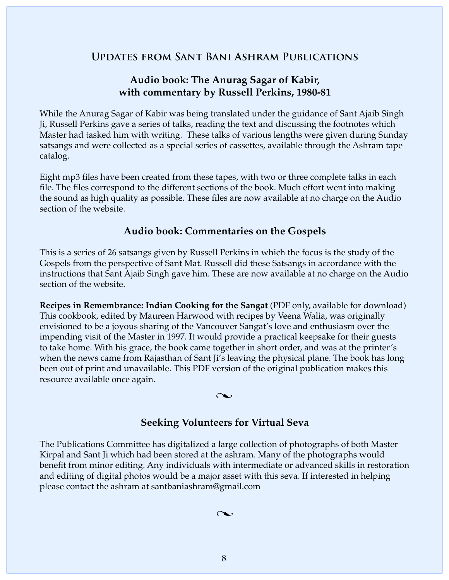# **Updates from Sant Bani Ashram Publications**

# **Audio book: The Anurag Sagar of Kabir, with commentary by Russell Perkins, 1980-81**

While the Anurag Sagar of Kabir was being translated under the guidance of Sant Ajaib Singh Ji, Russell Perkins gave a series of talks, reading the text and discussing the footnotes which Master had tasked him with writing. These talks of various lengths were given during Sunday satsangs and were collected as a special series of cassettes, available through the Ashram tape catalog.

Eight mp3 files have been created from these tapes, with two or three complete talks in each file. The files correspond to the different sections of the book. Much effort went into making the sound as high quality as possible. These files are now available at no charge on the Audio section of the website.

# **Audio book: Commentaries on the Gospels**

This is a series of 26 satsangs given by Russell Perkins in which the focus is the study of the Gospels from the perspective of Sant Mat. Russell did these Satsangs in accordance with the instructions that Sant Ajaib Singh gave him. These are now available at no charge on the Audio section of the website.

**Recipes in Remembrance: Indian Cooking for the Sangat** (PDF only, available for download) This cookbook, edited by Maureen Harwood with recipes by Veena Walia, was originally envisioned to be a joyous sharing of the Vancouver Sangat's love and enthusiasm over the impending visit of the Master in 1997. It would provide a practical keepsake for their guests to take home. With his grace, the book came together in short order, and was at the printer's when the news came from Rajasthan of Sant Ji's leaving the physical plane. The book has long been out of print and unavailable. This PDF version of the original publication makes this resource available once again.

#### $\curvearrowright$

## **Seeking Volunteers for Virtual Seva**

The Publications Committee has digitalized a large collection of photographs of both Master Kirpal and Sant Ji which had been stored at the ashram. Many of the photographs would benefit from minor editing. Any individuals with intermediate or advanced skills in restoration and editing of digital photos would be a major asset with this seva. If interested in helping please contact the ashram at santbaniashram@gmail.com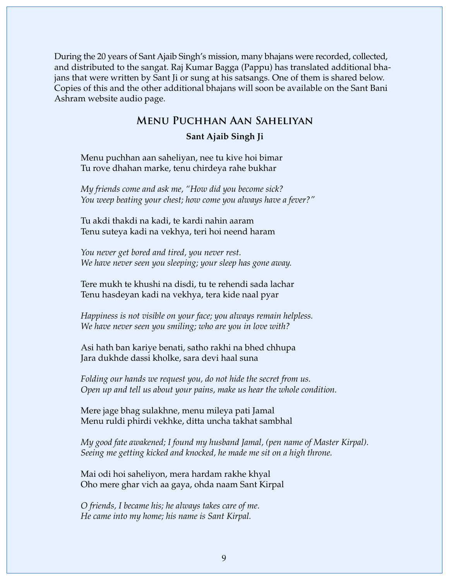During the 20 years of Sant Ajaib Singh's mission, many bhajans were recorded, collected, and distributed to the sangat. Raj Kumar Bagga (Pappu) has translated additional bhajans that were written by Sant Ji or sung at his satsangs. One of them is shared below. Copies of this and the other additional bhajans will soon be available on the Sant Bani Ashram website audio page.

## **Menu Puchhan Aan Saheliyan**

#### **Sant Ajaib Singh Ji**

Menu puchhan aan saheliyan, nee tu kive hoi bimar Tu rove dhahan marke, tenu chirdeya rahe bukhar

*My friends come and ask me, "How did you become sick? You weep beating your chest; how come you always have a fever?"*

Tu akdi thakdi na kadi, te kardi nahin aaram Tenu suteya kadi na vekhya, teri hoi neend haram

*You never get bored and tired, you never rest. We have never seen you sleeping; your sleep has gone away.*

Tere mukh te khushi na disdi, tu te rehendi sada lachar Tenu hasdeyan kadi na vekhya, tera kide naal pyar

*Happiness is not visible on your face; you always remain helpless. We have never seen you smiling; who are you in love with?*

Asi hath ban kariye benati, satho rakhi na bhed chhupa Jara dukhde dassi kholke, sara devi haal suna

*Folding our hands we request you, do not hide the secret from us. Open up and tell us about your pains, make us hear the whole condition.*

Mere jage bhag sulakhne, menu mileya pati Jamal Menu ruldi phirdi vekhke, ditta uncha takhat sambhal

*My good fate awakened; I found my husband Jamal, (pen name of Master Kirpal). Seeing me getting kicked and knocked, he made me sit on a high throne.*

Mai odi hoi saheliyon, mera hardam rakhe khyal Oho mere ghar vich aa gaya, ohda naam Sant Kirpal

*O friends, I became his; he always takes care of me. He came into my home; his name is Sant Kirpal.*